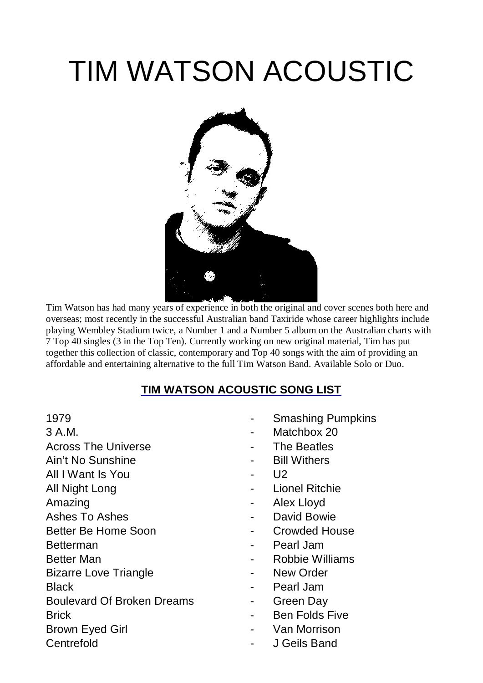## TIM WATSON ACOUSTIC



Tim Watson has had many years of experience in both the original and cover scenes both here and overseas; most recently in the successful Australian band Taxiride whose career highlights include playing Wembley Stadium twice, a Number 1 and a Number 5 album on the Australian charts with 7 Top 40 singles (3 in the Top Ten). Currently working on new original material, Tim has put together this collection of classic, contemporary and Top 40 songs with the aim of providing an affordable and entertaining alternative to the full Tim Watson Band. Available Solo or Duo.

## **TIM WATSON ACOUSTIC SONG LIST**

- 
- Across The Universe **Contract Contract Contract Contract The Beatles**
- Ain't No Sunshine **Ainter and Ainter Ainter Ainter** Ainter Point
- All I Want Is You **All I** Want Is You
- 
- 
- 
- 
- 
- 
- Bizarre Love Triangle **Contains Container Container** Point New Order
- 
- Boulevard Of Broken Dreams Theorem Creen Day
- 
- 
- 
- 1979  **Smashing Pumpkins**
- 3 A.M.  **Matchbox 20** 
	-
	-
	-
- All Night Long **All Night Long 2006** Lionel Ritchie
- Amazing **Amazing 2008** Alex Lloyd
- Ashes To Ashes **Ashes 1988 1988 1988 1988 1988 1988 1988 1988 1988 1988 1988 1988 1988 1988 1988 1988 1988 1988 1988 1988 1988 1988 1988 1988 1988 1988 1988 1988 19**
- Better Be Home Soon **-** Crowded House
- Betterman  **Pearl Jam**
- Better Man **Better Man** Robbie Williams
	-
- Black  **Pearl Jam** 
	-
- Brick **Brick** Ben Folds Five
- Brown Eyed Girl **Brown Executed Girl 2018**
- Centrefold J Geils Band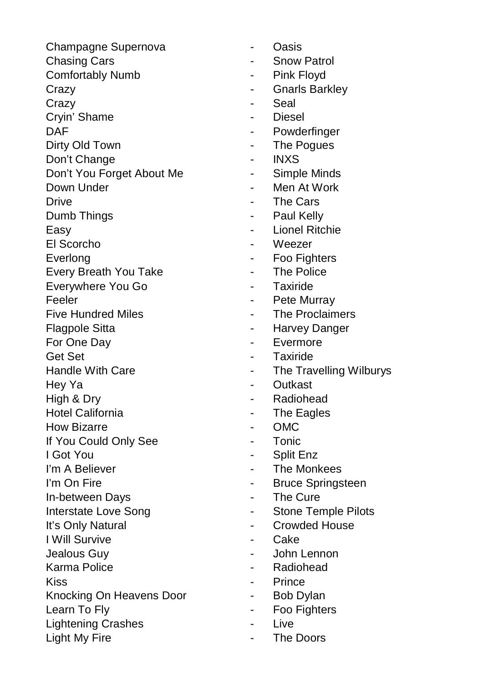Champagne Supernova **- Casis** Chasing Cars **Chasing Cars 1988** Comfortably Numb **- Pink Floyd** Crazy **Crazy - Gnarls Barkley** Crazy **- Seal** Cryin' Shame - Diesel DAF - Powderfinger Dirty Old Town **- The Pogues** Don't Change **- INXS** Don't You Forget About Me **Fig. 1.4 Simple Minds** Down Under **New York** 2008 - Men At Work Drive **Drive - The Cars** Dumb Things **Contract Contract Contract Contract Contract Paul Kelly** Easy **Easy Easy Easy Easy Easy Easy Easy Easy Easy Easy Easy Easy Easy Easy Easy Easy** El Scorcho - Weezer Everlong **Exercise Foo Fighters** Every Breath You Take **- The Police** Everywhere You Go **Fig. 10** Faxiride Feeler Feeler - Pete Murray Five Hundred Miles **Filter Contract Contract Five Hundred Miles Fig. 2** The Proclaimers Flagpole Sitta **- Harvey Danger** For One Day **For One Day For One Day** Get Set - Taxiride Handle With Care **Access 12 Contract Care Contract Contract Care Contract Contract Contract Contract Contract Contract Contract Contract Contract Contract Contract Contract Contract Contract Contract Contract Contract Cont** Hey Ya **- Cutkast** High & Dry **All Accord Accord Accord Accord Accord Accord Accord Accord Accord Accord Accord Accord Accord Accord Accord Accord Accord Accord Accord Accord Accord Accord Accord Accord Accord Accord Accord Accord Accord Acc** Hotel California **Hotel California Figure 1** The Eagles How Bizarre **- CMC** If You Could Only See **- Tonic** I Got You **- Split Enz** I'm A Believer - The Monkees I'm On Fire **Internal Contract Contract Contract Contract Contract Contract Contract Contract Contract Contract Contract Contract Contract Contract Contract Contract Contract Contract Contract Contract Contract Contract Co** In-between Days **Access** 2012 **Fixage 2013** Interstate Love Song<br>
The Stone Temple Pilots It's Only Natural **It's Only Natural Fig. 2.1 Crowded House** I Will Survive **Cake** Jealous Guy - John Lennon Karma Police **- Radiohead** Kiss **Contract Contract Contract Contract Contract Contract Contract Contract Contract Contract Contract Contract Contract Contract Contract Contract Contract Contract Contract Contract Contract Contract Contract Contract** Knocking On Heavens Door The Realty Bob Dylan Learn To Fly **Example 2** Foo Fighters Lightening Crashes **Cashes 1999** - Live Light My Fire **Community Community Community Community Community Community Community Community Community Community Community Community Community Community Community Community Community Com** 

- 
- 
- 
- 
- 
- 
- 
- 
- 
- 
- 
- 
- 
- 
- 
- 
- 
- 
- 
- 
- 
- 
- 
- 
- 
- 
- 
- 
- 
- 
- 
- 
- 
- 
- 
- 
- 
- 
- 
- 
- 
- 
-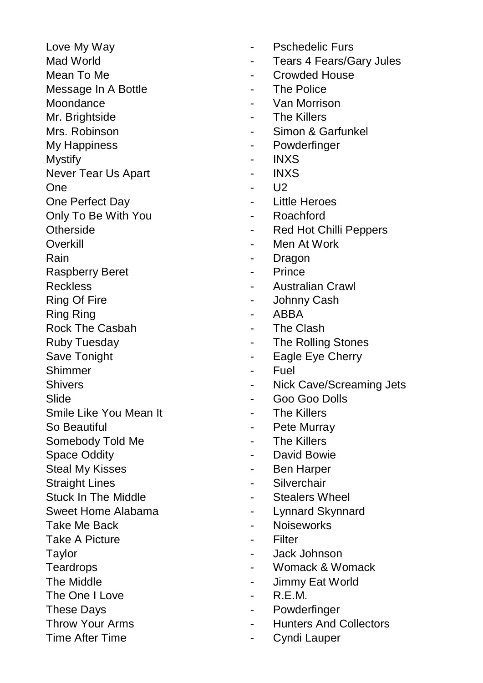- 
- Message In A Bottle **Container Container Container Provide** The Police
- 
- 
- 
- 
- Mystify INXS
- 
- 
- 
- 
- Only To Be With You  **Roachford**
- 
- 
- 
- Raspberry Beret **Access Fince Fince**
- 
- 
- Ring Ring **Contract Contract Contract Contract Contract ABBA**
- Rock The Casbah The Clash
- 
- 
- 
- 
- 
- Smile Like You Mean It **Allers Container Containers** Fine Killers
- 
- Somebody Told Me  **The Killers**
- 
- Steal My Kisses **Container Steal My Kisses Container** Point Assembly Ben Harper
- 
- 
- 
- 
- Take A Picture **Contact Contact A Picture Filter**
- 
- 
- 
- The One I Love **Account Account Account Account Account** Account Account Account Account Account Account Account Account Account Account Account Account Account Account Account Account Account Account Account Account Accou
- 
- 
- 
- Love My Way **Contract Contract Automobile Proportional Pschedelic Furs**
- Mad World **Mad World Mad World Tears 4 Fears/Gary Jules**
- Mean To Me  $\qquad \qquad -$  Crowded House
	-
- Moondance **Moondance Van Morrison**
- Mr. Brightside  **The Killers**
- Mrs. Robinson  **Simon & Garfunkel**
- My Happiness **My Happiness Powderfinger** 
	-
- Never Tear Us Apart **New Strategy Arrow Act 10 Fe**
- One U2
- One Perfect Day **Constant Contract Day Constant Constant Little Heroes** 
	-
- Otherside  **All Accords** Red Hot Chilli Peppers
- Overkill **Overkill Contract Contract Contract At Men** At Work
- Rain **Rain** Dragon
	-
- Reckless  **Australian Crawl**
- Ring Of Fire  **All Accord Accord All Accord Johnny Cash** 
	-
	-
- Ruby Tuesday **National Contract Contract Contract Contract Contract Contract Contract Contract Contract Contract Contract Contract Contract Contract Contract Contract Contract Contract Contract Contract Contract Contract C**
- Save Tonight  **Eagle Eye Cherry**
- Shimmer Fuel
- Shivers  **Nick Cave/Screaming Jets**
- Slide Goo Goo Dolls
	-
- So Beautiful **So Beautiful Accord Accord Accord Accord Pete Murray** 
	-
- Space Oddity **Space Oddity David Bowie** 
	-
- Straight Lines **Containers Containers Containers Containers Containers Containers Containers**
- Stuck In The Middle **Contract Contract Contract Stealers Wheel**
- Sweet Home Alabama  **Lynnard Skynnard**
- Take Me Back  **Noiseworks** 
	-
- Taylor **Taylor CONSISTENT CONSISTENT CONSISTENT CONSISTENT CONSISTENT CONSISTENT CONSISTENT CONSISTENT CONSISTENT CONSISTENT CONSISTENT CONSISTENT CONSISTENT CONSISTENT CONSISTENT CONSISTENT CONSISTENT CONSISTENT CONSIST**
- Teardrops  **Womack & Womack**
- The Middle **Alternative Contract Contract Contract Contract Contract Contract Contract Contract Contract Contract Contract Contract Contract Contract Contract Contract Contract Contract Contract Contract Contract Contract** 
	-
- These Days **Contract Contract Contract Contract Contract Contract Contract Contract Contract Contract Contract Contract Contract Contract Contract Contract Contract Contract Contract Contract Contract Contract Contract Con**
- Throw Your Arms **Collectors Figure 2018**
- Time After Time **Cyndi** Lauper